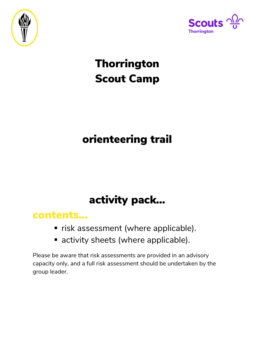



# **Thorrington** Scout Camp

## orienteering trail

# activity pack…

#### contents…

- **F** risk assessment (where applicable).
- **E** activity sheets (where applicable).

Please be aware that risk assessments are provided in an advisory capacity only, and a full risk assessment should be undertaken by the group leader.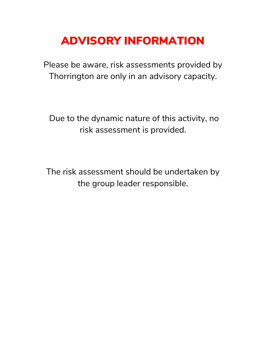### ADVISORY INFORMATION

Please be aware, risk assessments provided by Thorrington are only in an advisory capacity.

 Due to the dynamic nature of this activity, no risk assessment is provided.

The risk assessment should be undertaken by the group leader responsible.